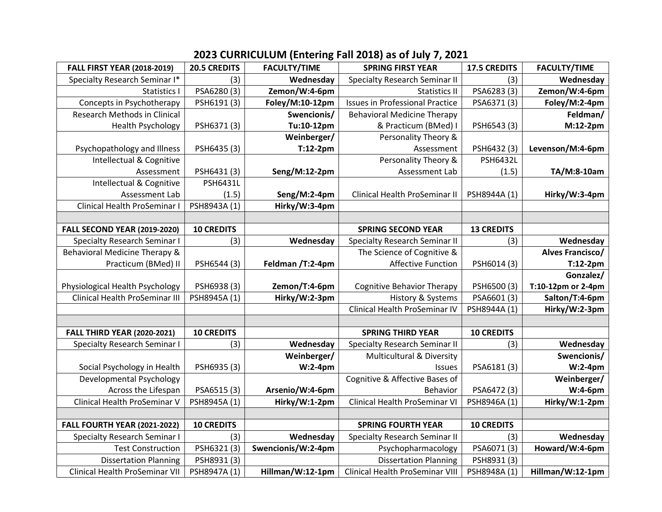| <b>FALL FIRST YEAR (2018-2019)</b>  | <b>20.5 CREDITS</b> | <b>FACULTY/TIME</b> | <b>SPRING FIRST YEAR</b>               | <b>17.5 CREDITS</b> | <b>FACULTY/TIME</b>     |
|-------------------------------------|---------------------|---------------------|----------------------------------------|---------------------|-------------------------|
| Specialty Research Seminar I*       | (3)                 | Wednesday           | <b>Specialty Research Seminar II</b>   | (3)                 | Wednesday               |
| Statistics I                        | PSA6280(3)          | Zemon/W:4-6pm       | Statistics II                          | PSA6283 (3)         | Zemon/W:4-6pm           |
| Concepts in Psychotherapy           | PSH6191 (3)         | Foley/M:10-12pm     | <b>Issues in Professional Practice</b> | PSA6371(3)          | Foley/M:2-4pm           |
| Research Methods in Clinical        |                     | Swencionis/         | <b>Behavioral Medicine Therapy</b>     |                     | Feldman/                |
| <b>Health Psychology</b>            | PSH6371(3)          | Tu:10-12pm          | & Practicum (BMed) I                   | PSH6543 (3)         | M:12-2pm                |
|                                     |                     | Weinberger/         | Personality Theory &                   |                     |                         |
| Psychopathology and Illness         | PSH6435 (3)         | $T:12-2pm$          | Assessment                             | PSH6432 (3)         | Levenson/M:4-6pm        |
| Intellectual & Cognitive            |                     |                     | Personality Theory &                   | <b>PSH6432L</b>     |                         |
| Assessment                          | PSH6431(3)          | Seng/M:12-2pm       | Assessment Lab                         | (1.5)               | TA/M:8-10am             |
| Intellectual & Cognitive            | <b>PSH6431L</b>     |                     |                                        |                     |                         |
| Assessment Lab                      | (1.5)               | Seng/M:2-4pm        | Clinical Health ProSeminar II          | PSH8944A (1)        | Hirky/W:3-4pm           |
| <b>Clinical Health ProSeminar I</b> | PSH8943A (1)        | Hirky/W:3-4pm       |                                        |                     |                         |
|                                     |                     |                     |                                        |                     |                         |
| <b>FALL SECOND YEAR (2019-2020)</b> | <b>10 CREDITS</b>   |                     | <b>SPRING SECOND YEAR</b>              | <b>13 CREDITS</b>   |                         |
| <b>Specialty Research Seminar I</b> | (3)                 | Wednesday           | <b>Specialty Research Seminar II</b>   | (3)                 | Wednesday               |
| Behavioral Medicine Therapy &       |                     |                     | The Science of Cognitive &             |                     | <b>Alves Francisco/</b> |
| Practicum (BMed) II                 | PSH6544 (3)         | Feldman /T:2-4pm    | <b>Affective Function</b>              | PSH6014 (3)         | $T:12-2pm$              |
|                                     |                     |                     |                                        |                     | Gonzalez/               |
| Physiological Health Psychology     | PSH6938 (3)         | Zemon/T:4-6pm       | <b>Cognitive Behavior Therapy</b>      | PSH6500 (3)         | T:10-12pm or 2-4pm      |
| Clinical Health ProSeminar III      | PSH8945A (1)        | Hirky/W:2-3pm       | History & Systems                      | PSA6601(3)          | Salton/T:4-6pm          |
|                                     |                     |                     | Clinical Health ProSeminar IV          | PSH8944A (1)        | Hirky/W:2-3pm           |
|                                     |                     |                     |                                        |                     |                         |
| <b>FALL THIRD YEAR (2020-2021)</b>  | <b>10 CREDITS</b>   |                     | <b>SPRING THIRD YEAR</b>               | <b>10 CREDITS</b>   |                         |
| <b>Specialty Research Seminar I</b> | (3)                 | Wednesday           | <b>Specialty Research Seminar II</b>   | (3)                 | Wednesday               |
|                                     |                     | Weinberger/         | Multicultural & Diversity              |                     | Swencionis/             |
| Social Psychology in Health         | PSH6935 (3)         | $W:2-4$ pm          | Issues                                 | PSA6181(3)          | $W:2-4$ pm              |
| Developmental Psychology            |                     |                     | Cognitive & Affective Bases of         |                     | Weinberger/             |
| Across the Lifespan                 | PSA6515(3)          | Arsenio/W:4-6pm     | Behavior                               | PSA6472 (3)         | W:4-6pm                 |
| Clinical Health ProSeminar V        | PSH8945A (1)        | Hirky/W:1-2pm       | Clinical Health ProSeminar VI          | PSH8946A (1)        | Hirky/W:1-2pm           |
|                                     |                     |                     |                                        |                     |                         |
| <b>FALL FOURTH YEAR (2021-2022)</b> | <b>10 CREDITS</b>   |                     | <b>SPRING FOURTH YEAR</b>              | <b>10 CREDITS</b>   |                         |
| <b>Specialty Research Seminar I</b> | (3)                 | Wednesday           | <b>Specialty Research Seminar II</b>   | (3)                 | Wednesday               |
| <b>Test Construction</b>            | PSH6321(3)          | Swencionis/W:2-4pm  | Psychopharmacology                     | PSA6071(3)          | Howard/W:4-6pm          |
| <b>Dissertation Planning</b>        | PSH8931(3)          |                     | <b>Dissertation Planning</b>           | PSH8931(3)          |                         |
| Clinical Health ProSeminar VII      | PSH8947A (1)        | Hillman/W:12-1pm    | Clinical Health ProSeminar VIII        | PSH8948A (1)        | Hillman/W:12-1pm        |